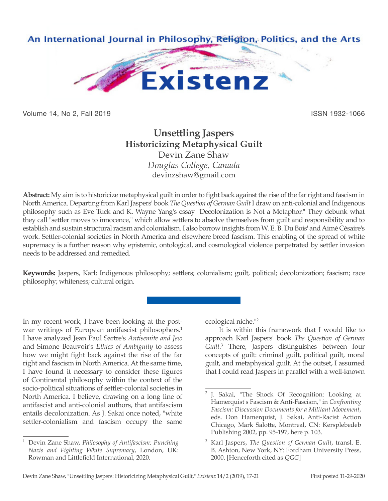

Volume 14, No 2, Fall 2019 ISSN 1932-1066

## **Unsettling Jaspers Historicizing Metaphysical Guilt** Devin Zane Shaw

*Douglas College, Canada* devinzshaw@gmail.com

**Abstract:** My aim is to historicize metaphysical guilt in order to fight back against the rise of the far right and fascism in North America. Departing from Karl Jaspers' book *The Question of German Guilt* I draw on anti-colonial and Indigenous philosophy such as Eve Tuck and K. Wayne Yang's essay "Decolonization is Not a Metaphor." They debunk what they call "settler moves to innocence," which allow settlers to absolve themselves from guilt and responsibility and to establish and sustain structural racism and colonialism. I also borrow insights from W. E. B. Du Bois' and Aimé Césaire's work. Settler-colonial societies in North America and elsewhere breed fascism. This enabling of the spread of white supremacy is a further reason why epistemic, ontological, and cosmological violence perpetrated by settler invasion needs to be addressed and remedied.

**Keywords:** Jaspers, Karl; Indigenous philosophy; settlers; colonialism; guilt, political; decolonization; fascism; race philosophy; whiteness; cultural origin.

In my recent work, I have been looking at the postwar writings of European antifascist philosophers.<sup>1</sup> I have analyzed Jean Paul Sartre's *Antisemite and Jew* and Simone Beauvoir's *Ethics of Ambiguity* to assess how we might fight back against the rise of the far right and fascism in North America. At the same time, I have found it necessary to consider these figures of Continental philosophy within the context of the socio-political situations of settler-colonial societies in North America. I believe, drawing on a long line of antifascist and anti-colonial authors, that antifascism entails decolonization. As J. Sakai once noted, "white settler-colonialism and fascism occupy the same

ecological niche."<sup>2</sup>

It is within this framework that I would like to approach Karl Jaspers' book *The Question of German*  Guilt.<sup>3</sup> There, Jaspers distinguishes between four concepts of guilt: criminal guilt, political guilt, moral guilt, and metaphysical guilt. At the outset, I assumed that I could read Jaspers in parallel with a well-known

<sup>1</sup> Devin Zane Shaw, *Philosophy of Antifascism: Punching Nazis and Fighting White Supremacy*, London, UK: Rowman and Littlefield International, 2020.

<sup>2</sup> J. Sakai, "The Shock Of Recognition: Looking at Hamerquist's Fascism & Anti-Fascism," in *Confronting Fascism: Discussion Documents for a Militant Movement*, eds. Don Hamerquist, J. Sakai, Anti-Racist Action Chicago, Mark Salotte, Montreal, CN: Kersplebedeb Publishing 2002, pp. 95-197, here p. 103.

<sup>3</sup> Karl Jaspers, *The Question of German Guilt*, transl. E. B. Ashton, New York, NY: Fordham University Press, 2000. [Henceforth cited as *QGG*]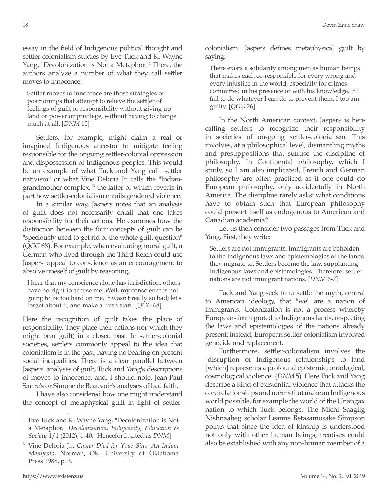essay in the field of Indigenous political thought and settler-colonialism studies by Eve Tuck and K. Wayne Yang, "Decolonization is Not a Metaphor."<sup>4</sup> There, the authors analyze a number of what they call settler moves to innocence:

Settler moves to innocence are those strategies or positionings that attempt to relieve the settler of feelings of guilt or responsibility without giving up land or power or privilege, without having to change much at all. [*DNM* 10]

Settlers, for example, might claim a real or imagined Indigenous ancestor to mitigate feeling responsible for the ongoing settler-colonial oppression and dispossession of Indigenous peoples. This would be an example of what Tuck and Yang call "settler nativism" or what Vine Deloria Jr. calls the "Indiangrandmother complex,"5 the latter of which reveals in part how settler-colonialism entails gendered violence.

In a similar way, Jaspers notes that an analysis of guilt does not necessarily entail that one takes responsibility for their actions. He examines how the distinction between the four concepts of guilt can be "speciously used to get rid of the whole guilt question" (*QGG* 68). For example, when evaluating moral guilt, a German who lived through the Third Reich could use Jaspers' appeal to conscience as an encouragement to absolve oneself of guilt by reasoning,

I hear that my conscience alone has jurisdiction, others have no right to accuse me. Well, my conscience is not going to be too hard on me. It wasn't really so bad; let's forget about it, and make a fresh start. [*QGG* 68]

Here the recognition of guilt takes the place of responsibility. They place their actions (for which they might bear guilt) in a closed past. In settler-colonial societies, settlers commonly appeal to the idea that colonialism is in the past, having no bearing on present social inequalities. There is a clear parallel between Jaspers' analyses of guilt, Tuck and Yang's descriptions of moves to innocence, and, I should note, Jean-Paul Sartre's or Simone de Beauvoir's analyses of bad faith.

I have also considered how one might understand the concept of metaphysical guilt in light of settlercolonialism. Jaspers defines metaphysical guilt by saying:

There exists a solidarity among men as human beings that makes each co-responsible for every wrong and every injustice in the world, especially for crimes committed in his presence or with his knowledge. If I fail to do whatever I can do to prevent them, I too am guilty. [*QGG* 26]

In the North American context, Jaspers is here calling settlers to recognize their responsibility in societies of on-going settler-colonialism. This involves, at a philosophical level, dismantling myths and presuppositions that suffuse the discipline of philosophy. In Continental philosophy, which I study, so I am also implicated, French and German philosophy are often practiced as if one could do European philosophy, only accidentally in North America. The discipline rarely asks: what conditions have to obtain such that European philosophy could present itself as endogenous to American and Canadian academia?

Let us then consider two passages from Tuck and Yang. First, they write:

Settlers are not immigrants. Immigrants are beholden to the Indigenous laws and epistemologies of the lands they migrate to. Settlers become the law, supplanting Indigenous laws and epistemologies. Therefore, settler nations are not immigrant nations. [*DNM* 6-7]

Tuck and Yang seek to unsettle the myth, central to American ideology, that "we" are a nation of immigrants. Colonization is not a process whereby Europeans immigrated to Indigenous lands, respecting the laws and epistemologies of the nations already present; instead, European settler-colonialism involved genocide and replacement.

Furthermore, settler-colonialism involves the "disruption of Indigenous relationships to land [which] represents a profound epistemic, ontological, cosmological violence" (*DNM* 5). Here Tuck and Yang describe a kind of existential violence that attacks the core relationships and norms that make an Indigenous world possible, for example the world of the Unangax nation to which Tuck belongs. The Michi Saagiig Nishnaabeg scholar Leanne Betasamosake Simpson points that since the idea of kinship is understood not only with other human beings, treatises could also be established with any non-human member of a

<sup>4</sup> Eve Tuck and K. Wayne Yang, "Decolonization is Not a Metaphor," *Decolonization: Indigeneity, Education & Society* 1/1 (2012), 1-40. [Henceforth cited as *DNM*]

<sup>5</sup> Vine Deloria Jr., *Custer Died for Your Sins: An Indian Manifesto*, Norman, OK: University of Oklahoma Press 1988, p. 3.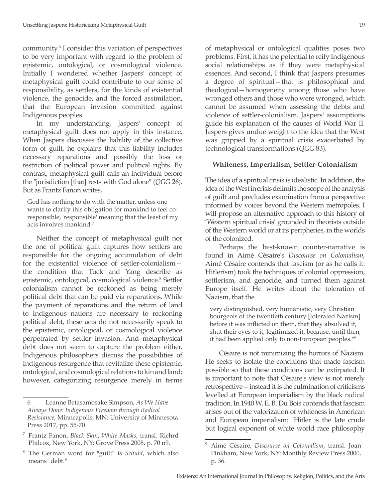community.6 I consider this variation of perspectives to be very important with regard to the problem of epistemic, ontological, or cosmological violence. Initially I wondered whether Jaspers' concept of metaphysical guilt could contribute to our sense of responsibility, as settlers, for the kinds of existential violence, the genocide, and the forced assimilation, that the European invasion committed against Indigenous peoples.

In my understanding, Jaspers' concept of metaphysical guilt does not apply in this instance. When Jaspers discusses the liability of the collective form of guilt, he explains that this liability includes necessary reparations and possibly the loss or restriction of political power and political rights. By contrast, metaphysical guilt calls an individual before the "jurisdiction [that] rests with God alone" (*QGG* 26). But as Frantz Fanon writes,

God has nothing to do with the matter, unless one wants to clarify this obligation for mankind to feel coresponsible, 'responsible' meaning that the least of my acts involves mankind.7

Neither the concept of metaphysical guilt nor the one of political guilt captures how settlers are responsible for the ongoing accumulation of debt for the existential violence of settler-colonialism the condition that Tuck and Yang describe as epistemic, ontological, cosmological violence.<sup>8</sup> Settler colonialism cannot be reckoned as being merely political debt that can be paid via reparations. While the payment of reparations and the return of land to Indigenous nations are necessary to reckoning political debt, these acts do not necessarily speak to the epistemic, ontological, or cosmological violence perpetrated by settler invasion. And metaphysical debt does not seem to capture the problem either. Indigenous philosophers discuss the possibilities of Indigenous resurgence that revitalize these epistemic, ontological, and cosmological relations to kin and land; however, categorizing resurgence merely in terms

of metaphysical or ontological qualities poses two problems. First, it has the potential to reify Indigenous social relationships as if they were metaphysical essences. And second, I think that Jaspers presumes a degree of spiritual—that is philosophical and theological—homogeneity among those who have wronged others and those who were wronged, which cannot be assumed when assessing the debts and violence of settler-colonialism. Jaspers' assumptions guide his explanation of the causes of World War II. Jaspers gives undue weight to the idea that the West was gripped by a spiritual crisis exacerbated by technological transformations (*QGG* 83).

## **Whiteness, Imperialism, Settler-Colonialism**

The idea of a spiritual crisis is idealistic. In addition, the idea of the West in crisis delimits the scope of the analysis of guilt and precludes examination from a perspective informed by voices beyond the Western metropoles. I will propose an alternative approach to this history of 'Western spiritual crisis' grounded in theorists outside of the Western world or at its peripheries, in the worlds of the colonized.

Perhaps the best-known counter-narrative is found in Aimé Césaire's *Discourse on Colonialism*, Aimé Césaire contends that fascism (or as he calls it: Hitlerism) took the techniques of colonial oppression, settlerism, and genocide, and turned them against Europe itself. He writes about the toleration of Nazism, that the

very distinguished, very humanistic, very Christian bourgeois of the twentieth century [tolerated Nazism] before it was inflicted on them, that they absolved it, shut their eyes to it, legitimized it, because, until then, it had been applied only to non-European peoples."9

Césaire is not minimizing the horrors of Nazism. He seeks to isolate the conditions that made fascism possible so that these conditions can be extirpated. It is important to note that Césaire's view is not merely retrospective—instead it is the culmination of criticisms levelled at European imperialism by the black radical tradition. In 1940 W. E. B. Du Bois contends that fascism arises out of the valorization of whiteness in American and European imperialism: "Hitler is the late crude but logical exponent of white world race philosophy

<sup>6</sup> Leanne Betasamosake Simpson, *As We Have Always Done: Indigenous Freedom through Radical Resistance*, Minneapolis, MN: University of Minnesota Press 2017, pp. 55-70.

<sup>7</sup> Frantz Fanon, *Black Skin, White Masks*, transl. Richrd Philcox, New York, NY: Grove Press 2008, p. 70 n9.

The German word for "guilt" is *Schuld*, which also means "debt."

<sup>9</sup> Aimé Césaire, *Discourse on Colonialism*, transl. Joan Pinkham, New York, NY: Monthly Review Press 2000, p. 36.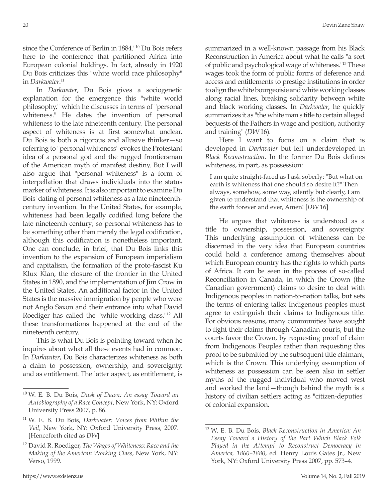since the Conference of Berlin in 1884."10 Du Bois refers here to the conference that partitioned Africa into European colonial holdings. In fact, already in 1920 Du Bois criticizes this "white world race philosophy" in *Darkwater*. 11

In *Darkwater*, Du Bois gives a sociogenetic explanation for the emergence this "white world philosophy," which he discusses in terms of "personal whiteness." He dates the invention of personal whiteness to the late nineteenth century. The personal aspect of whiteness is at first somewhat unclear. Du Bois is both a rigorous and allusive thinker—so referring to "personal whiteness" evokes the Protestant idea of a personal god and the rugged frontiersman of the American myth of manifest destiny. But I will also argue that "personal whiteness" is a form of interpellation that draws individuals into the status marker of whiteness. It is also important to examine Du Bois' dating of personal whiteness as a late nineteenthcentury invention. In the United States, for example, whiteness had been legally codified long before the late nineteenth century; so personal whiteness has to be something other than merely the legal codification, although this codification is nonetheless important. One can conclude, in brief, that Du Bois links this invention to the expansion of European imperialism and capitalism, the formation of the proto-fascist Ku Klux Klan, the closure of the frontier in the United States in 1890, and the implementation of Jim Crow in the United States. An additional factor in the United States is the massive immigration by people who were not Anglo Saxon and their entrance into what David Roediger has called the "white working class."12 All these transformations happened at the end of the nineteenth century.

This is what Du Bois is pointing toward when he inquires about what all these events had in common. In *Darkwater*, Du Bois characterizes whiteness as both a claim to possession, ownership, and sovereignty, and as entitlement. The latter aspect, as entitlement, is summarized in a well-known passage from his Black Reconstruction in America about what he calls "a sort of public and psychological wage of whiteness."13 These wages took the form of public forms of deference and access and entitlements to prestige institutions in order to align the white bourgeoisie and white working classes along racial lines, breaking solidarity between white and black working classes. In *Darkwater*, he quickly summarizes it as "the white man's title to certain alleged bequests of the Fathers in wage and position, authority and training" (*DW* 16).

Here I want to focus on a claim that is developed in *Darkwater* but left underdeveloped in *Black Reconstruction*. In the former Du Bois defines whiteness, in part, as possession:

I am quite straight-faced as I ask soberly: "But what on earth is whiteness that one should so desire it?" Then always, somehow, some way, silently but clearly, I am given to understand that whiteness is the ownership of the earth forever and ever, Amen! [*DW* 16]

He argues that whiteness is understood as a title to ownership, possession, and sovereignty. This underlying assumption of whiteness can be discerned in the very idea that European countries could hold a conference among themselves about which European country has the rights to which parts of Africa. It can be seen in the process of so-called Reconciliation in Canada, in which the Crown (the Canadian government) claims to desire to deal with Indigenous peoples in nation-to-nation talks, but sets the terms of entering talks: Indigenous peoples must agree to extinguish their claims to Indigenous title. For obvious reasons, many communities have sought to fight their claims through Canadian courts, but the courts favor the Crown, by requesting proof of claim from Indigenous Peoples rather than requesting this proof to be submitted by the subsequent title claimant, which is the Crown. This underlying assumption of whiteness as possession can be seen also in settler myths of the rugged individual who moved west and worked the land—though behind the myth is a history of civilian settlers acting as "citizen-deputies" of colonial expansion.

<sup>10</sup> W. E. B. Du Bois, *Dusk of Dawn: An essay Toward an Autobiography of a Race Concept*, New York, NY: Oxford University Press 2007, p. 86.

<sup>11</sup> W. E. B. Du Bois, *Darkwater: Voices from Within the Veil*, New York, NY: Oxford University Press, 2007. [Henceforth cited as *DW*]

<sup>12</sup> David R. Roediger, *The Wages of Whiteness: Race and the Making of the American Working Class*, New York, NY: Verso, 1999.

<sup>13</sup> W. E. B. Du Bois, *Black Reconstruction in America: An Essay Toward a History of the Part Which Black Folk Played in the Attempt to Reconstruct Democracy in America, 1860–1880*, ed. Henry Louis Gates Jr., New York, NY: Oxford University Press 2007, pp. 573–4.